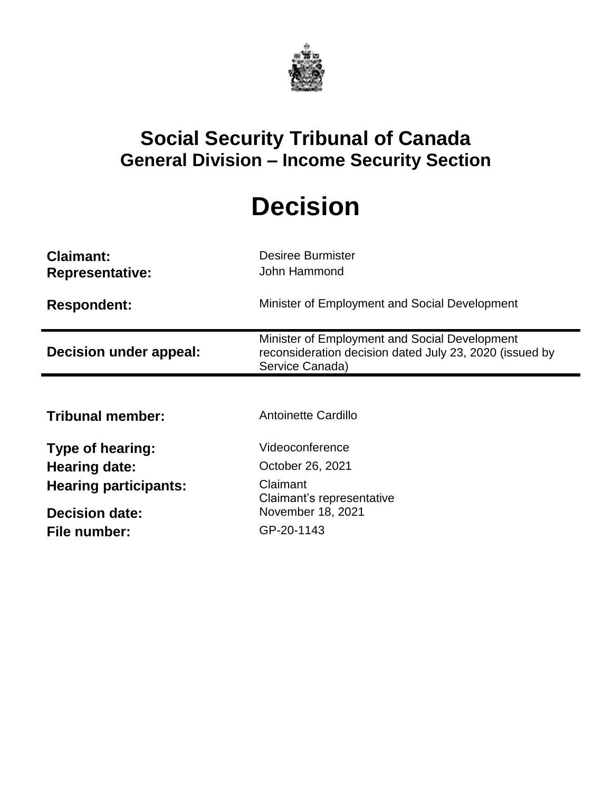

## **Social Security Tribunal of Canada General Division – Income Security Section**

# **Decision**

| <b>Claimant:</b><br><b>Representative:</b> | <b>Desiree Burmister</b><br>John Hammond                                                                                    |
|--------------------------------------------|-----------------------------------------------------------------------------------------------------------------------------|
| <b>Respondent:</b>                         | Minister of Employment and Social Development                                                                               |
| Decision under appeal:                     | Minister of Employment and Social Development<br>reconsideration decision dated July 23, 2020 (issued by<br>Service Canada) |
|                                            |                                                                                                                             |
| <b>Tribunal member:</b>                    | <b>Antoinette Cardillo</b>                                                                                                  |
| <b>Type of hearing:</b>                    | Videoconference                                                                                                             |
| Hearing date:                              | October 26, 2021                                                                                                            |
| <b>Hearing participants:</b>               | Claimant<br>Claimant's representative                                                                                       |
| <b>Decision date:</b>                      | November 18, 2021                                                                                                           |
| File number:                               | GP-20-1143                                                                                                                  |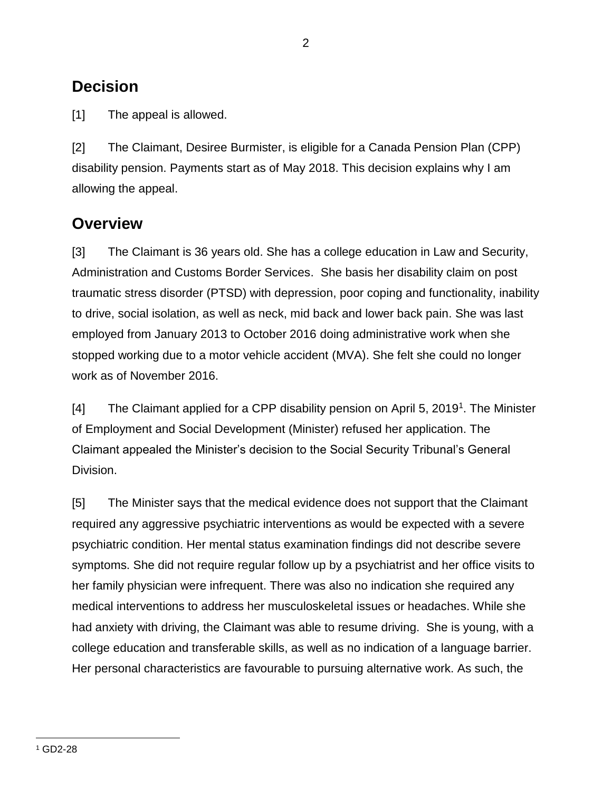## **Decision**

[1] The appeal is allowed.

[2] The Claimant, Desiree Burmister, is eligible for a Canada Pension Plan (CPP) disability pension. Payments start as of May 2018. This decision explains why I am allowing the appeal.

### **Overview**

[3] The Claimant is 36 years old. She has a college education in Law and Security, Administration and Customs Border Services. She basis her disability claim on post traumatic stress disorder (PTSD) with depression, poor coping and functionality, inability to drive, social isolation, as well as neck, mid back and lower back pain. She was last employed from January 2013 to October 2016 doing administrative work when she stopped working due to a motor vehicle accident (MVA). She felt she could no longer work as of November 2016.

[4] The Claimant applied for a CPP disability pension on April 5, 2019<sup>1</sup>. The Minister of Employment and Social Development (Minister) refused her application. The Claimant appealed the Minister's decision to the Social Security Tribunal's General Division.

[5] The Minister says that the medical evidence does not support that the Claimant required any aggressive psychiatric interventions as would be expected with a severe psychiatric condition. Her mental status examination findings did not describe severe symptoms. She did not require regular follow up by a psychiatrist and her office visits to her family physician were infrequent. There was also no indication she required any medical interventions to address her musculoskeletal issues or headaches. While she had anxiety with driving, the Claimant was able to resume driving. She is young, with a college education and transferable skills, as well as no indication of a language barrier. Her personal characteristics are favourable to pursuing alternative work. As such, the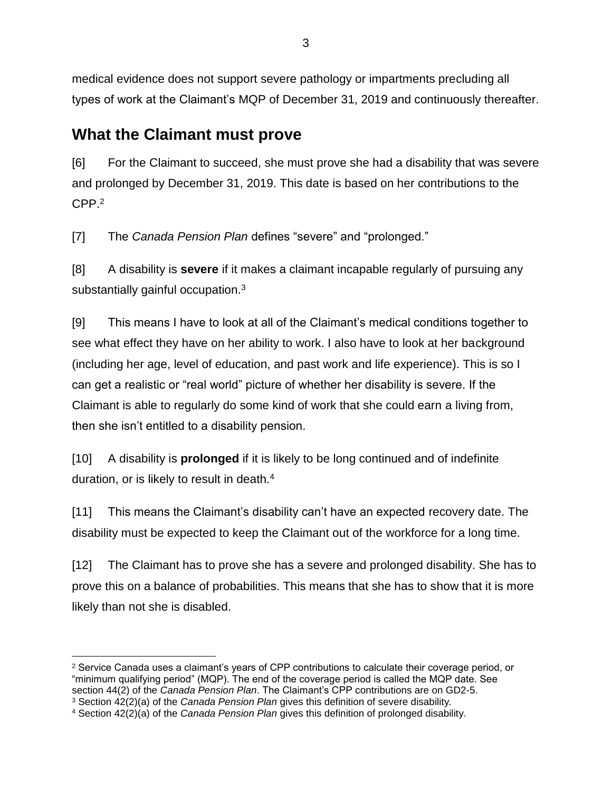medical evidence does not support severe pathology or impartments precluding all types of work at the Claimant's MQP of December 31, 2019 and continuously thereafter.

## **What the Claimant must prove**

[6] For the Claimant to succeed, she must prove she had a disability that was severe and prolonged by December 31, 2019. This date is based on her contributions to the CPP.<sup>2</sup>

[7] The *Canada Pension Plan* defines "severe" and "prolonged."

[8] A disability is **severe** if it makes a claimant incapable regularly of pursuing any substantially gainful occupation.<sup>3</sup>

[9] This means I have to look at all of the Claimant's medical conditions together to see what effect they have on her ability to work. I also have to look at her background (including her age, level of education, and past work and life experience). This is so I can get a realistic or "real world" picture of whether her disability is severe. If the Claimant is able to regularly do some kind of work that she could earn a living from, then she isn't entitled to a disability pension.

[10] A disability is **prolonged** if it is likely to be long continued and of indefinite duration, or is likely to result in death.<sup>4</sup>

[11] This means the Claimant's disability can't have an expected recovery date. The disability must be expected to keep the Claimant out of the workforce for a long time.

[12] The Claimant has to prove she has a severe and prolonged disability. She has to prove this on a balance of probabilities. This means that she has to show that it is more likely than not she is disabled.

 $\overline{a}$ <sup>2</sup> Service Canada uses a claimant's years of CPP contributions to calculate their coverage period, or "minimum qualifying period" (MQP). The end of the coverage period is called the MQP date. See section 44(2) of the *Canada Pension Plan*. The Claimant's CPP contributions are on GD2-5.

<sup>3</sup> Section 42(2)(a) of the *Canada Pension Plan* gives this definition of severe disability*.*

<sup>4</sup> Section 42(2)(a) of the *Canada Pension Plan* gives this definition of prolonged disability.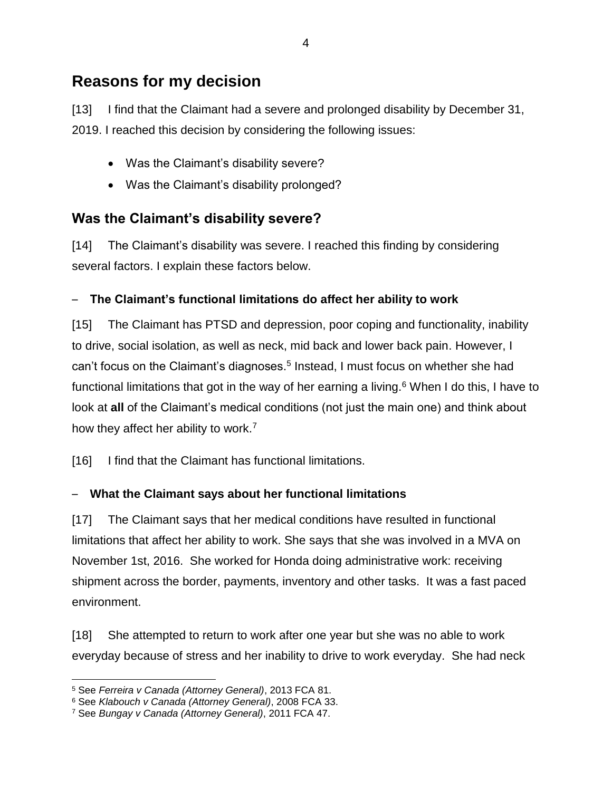## **Reasons for my decision**

[13] I find that the Claimant had a severe and prolonged disability by December 31, 2019. I reached this decision by considering the following issues:

- Was the Claimant's disability severe?
- Was the Claimant's disability prolonged?

#### **Was the Claimant's disability severe?**

[14] The Claimant's disability was severe. I reached this finding by considering several factors. I explain these factors below.

#### – **The Claimant's functional limitations do affect her ability to work**

[15] The Claimant has PTSD and depression, poor coping and functionality, inability to drive, social isolation, as well as neck, mid back and lower back pain. However, I can't focus on the Claimant's diagnoses.<sup>5</sup> Instead, I must focus on whether she had functional limitations that got in the way of her earning a living. $6$  When I do this, I have to look at **all** of the Claimant's medical conditions (not just the main one) and think about how they affect her ability to work.<sup>7</sup>

[16] I find that the Claimant has functional limitations.

#### – **What the Claimant says about her functional limitations**

[17] The Claimant says that her medical conditions have resulted in functional limitations that affect her ability to work. She says that she was involved in a MVA on November 1st, 2016. She worked for Honda doing administrative work: receiving shipment across the border, payments, inventory and other tasks. It was a fast paced environment.

[18] She attempted to return to work after one year but she was no able to work everyday because of stress and her inability to drive to work everyday. She had neck

 $\overline{a}$ <sup>5</sup> See *Ferreira v Canada (Attorney General)*, 2013 FCA 81.

<sup>6</sup> See *Klabouch v Canada (Attorney General)*, 2008 FCA 33.

<sup>7</sup> See *Bungay v Canada (Attorney General)*, 2011 FCA 47.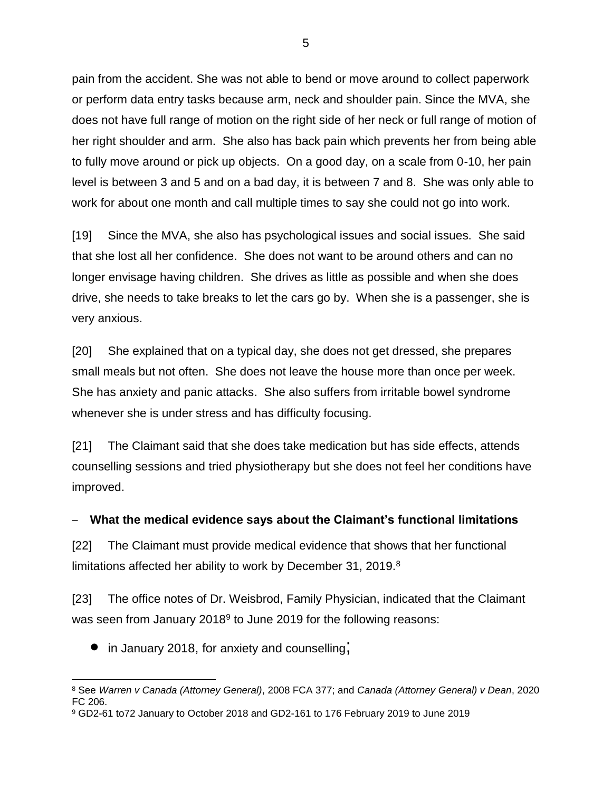pain from the accident. She was not able to bend or move around to collect paperwork or perform data entry tasks because arm, neck and shoulder pain. Since the MVA, she does not have full range of motion on the right side of her neck or full range of motion of her right shoulder and arm. She also has back pain which prevents her from being able to fully move around or pick up objects. On a good day, on a scale from 0-10, her pain level is between 3 and 5 and on a bad day, it is between 7 and 8. She was only able to work for about one month and call multiple times to say she could not go into work.

[19] Since the MVA, she also has psychological issues and social issues. She said that she lost all her confidence. She does not want to be around others and can no longer envisage having children. She drives as little as possible and when she does drive, she needs to take breaks to let the cars go by. When she is a passenger, she is very anxious.

[20] She explained that on a typical day, she does not get dressed, she prepares small meals but not often. She does not leave the house more than once per week. She has anxiety and panic attacks. She also suffers from irritable bowel syndrome whenever she is under stress and has difficulty focusing.

[21] The Claimant said that she does take medication but has side effects, attends counselling sessions and tried physiotherapy but she does not feel her conditions have improved.

#### – **What the medical evidence says about the Claimant's functional limitations**

[22] The Claimant must provide medical evidence that shows that her functional limitations affected her ability to work by December 31, 2019.<sup>8</sup>

[23] The office notes of Dr. Weisbrod, Family Physician, indicated that the Claimant was seen from January 2018<sup>9</sup> to June 2019 for the following reasons:

• in January 2018, for anxiety and counselling;

 $\overline{a}$ <sup>8</sup> See *Warren v Canada (Attorney General)*, 2008 FCA 377; and *Canada (Attorney General) v Dean*, 2020 FC 206.

<sup>9</sup> GD2-61 to72 January to October 2018 and GD2-161 to 176 February 2019 to June 2019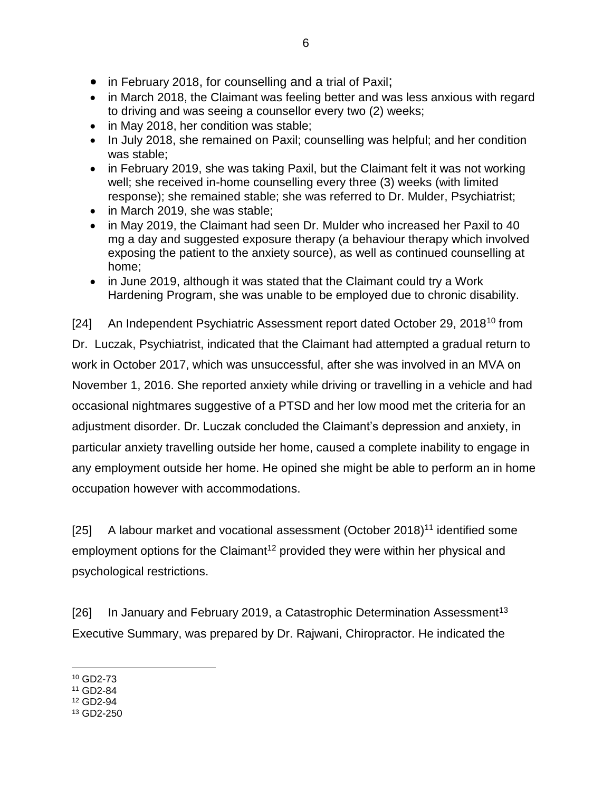- in February 2018, for counselling and a trial of Paxil;
- in March 2018, the Claimant was feeling better and was less anxious with regard to driving and was seeing a counsellor every two (2) weeks;
- in May 2018, her condition was stable;
- In July 2018, she remained on Paxil; counselling was helpful; and her condition was stable;
- in February 2019, she was taking Paxil, but the Claimant felt it was not working well; she received in-home counselling every three (3) weeks (with limited response); she remained stable; she was referred to Dr. Mulder, Psychiatrist;
- in March 2019, she was stable:
- in May 2019, the Claimant had seen Dr. Mulder who increased her Paxil to 40 mg a day and suggested exposure therapy (a behaviour therapy which involved exposing the patient to the anxiety source), as well as continued counselling at home;
- in June 2019, although it was stated that the Claimant could try a Work Hardening Program, she was unable to be employed due to chronic disability.

[24] An Independent Psychiatric Assessment report dated October 29, 2018<sup>10</sup> from Dr. Luczak, Psychiatrist, indicated that the Claimant had attempted a gradual return to work in October 2017, which was unsuccessful, after she was involved in an MVA on November 1, 2016. She reported anxiety while driving or travelling in a vehicle and had occasional nightmares suggestive of a PTSD and her low mood met the criteria for an adjustment disorder. Dr. Luczak concluded the Claimant's depression and anxiety, in particular anxiety travelling outside her home, caused a complete inability to engage in any employment outside her home. He opined she might be able to perform an in home occupation however with accommodations.

[25] A labour market and vocational assessment (October 2018)<sup>11</sup> identified some employment options for the Claimant<sup>12</sup> provided they were within her physical and psychological restrictions.

[26] In January and February 2019, a Catastrophic Determination Assessment<sup>13</sup> Executive Summary, was prepared by Dr. Rajwani, Chiropractor. He indicated the

 $\overline{a}$ <sup>10</sup> GD2-73

<sup>11</sup> GD2-84

<sup>12</sup> GD2-94

<sup>13</sup> GD2-250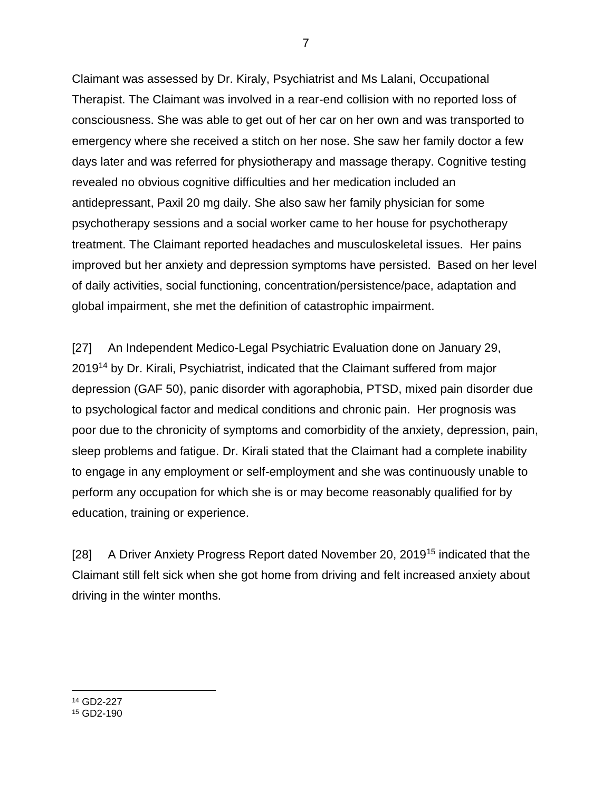Claimant was assessed by Dr. Kiraly, Psychiatrist and Ms Lalani, Occupational Therapist. The Claimant was involved in a rear-end collision with no reported loss of consciousness. She was able to get out of her car on her own and was transported to emergency where she received a stitch on her nose. She saw her family doctor a few days later and was referred for physiotherapy and massage therapy. Cognitive testing revealed no obvious cognitive difficulties and her medication included an antidepressant, Paxil 20 mg daily. She also saw her family physician for some psychotherapy sessions and a social worker came to her house for psychotherapy treatment. The Claimant reported headaches and musculoskeletal issues. Her pains improved but her anxiety and depression symptoms have persisted. Based on her level of daily activities, social functioning, concentration/persistence/pace, adaptation and global impairment, she met the definition of catastrophic impairment.

[27] An Independent Medico-Legal Psychiatric Evaluation done on January 29, 2019<sup>14</sup> by Dr. Kirali, Psychiatrist, indicated that the Claimant suffered from major depression (GAF 50), panic disorder with agoraphobia, PTSD, mixed pain disorder due to psychological factor and medical conditions and chronic pain. Her prognosis was poor due to the chronicity of symptoms and comorbidity of the anxiety, depression, pain, sleep problems and fatigue. Dr. Kirali stated that the Claimant had a complete inability to engage in any employment or self-employment and she was continuously unable to perform any occupation for which she is or may become reasonably qualified for by education, training or experience.

[28] A Driver Anxiety Progress Report dated November 20, 2019<sup>15</sup> indicated that the Claimant still felt sick when she got home from driving and felt increased anxiety about driving in the winter months.

<sup>14</sup> GD2-227

 $\overline{a}$ 

<sup>15</sup> GD2-190

7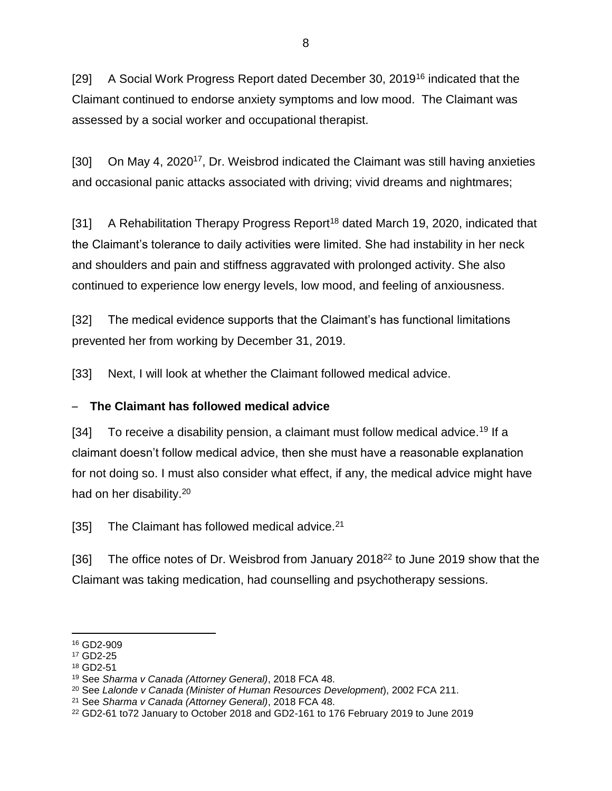[29] A Social Work Progress Report dated December 30, 2019<sup>16</sup> indicated that the Claimant continued to endorse anxiety symptoms and low mood. The Claimant was assessed by a social worker and occupational therapist.

[30] On May 4, 2020<sup>17</sup>, Dr. Weisbrod indicated the Claimant was still having anxieties and occasional panic attacks associated with driving; vivid dreams and nightmares;

[31] A Rehabilitation Therapy Progress Report<sup>18</sup> dated March 19, 2020, indicated that the Claimant's tolerance to daily activities were limited. She had instability in her neck and shoulders and pain and stiffness aggravated with prolonged activity. She also continued to experience low energy levels, low mood, and feeling of anxiousness.

[32] The medical evidence supports that the Claimant's has functional limitations prevented her from working by December 31, 2019.

[33] Next, I will look at whether the Claimant followed medical advice.

#### – **The Claimant has followed medical advice**

[34] To receive a disability pension, a claimant must follow medical advice.<sup>19</sup> If a claimant doesn't follow medical advice, then she must have a reasonable explanation for not doing so. I must also consider what effect, if any, the medical advice might have had on her disability.<sup>20</sup>

[35] The Claimant has followed medical advice.<sup>21</sup>

[36] The office notes of Dr. Weisbrod from January 2018<sup>22</sup> to June 2019 show that the Claimant was taking medication, had counselling and psychotherapy sessions.

 $\overline{a}$ <sup>16</sup> GD2-909

<sup>17</sup> GD2-25

<sup>18</sup> GD2-51

<sup>19</sup> See *Sharma v Canada (Attorney General)*, 2018 FCA 48.

<sup>20</sup> See *Lalonde v Canada (Minister of Human Resources Development*), 2002 FCA 211.

<sup>21</sup> See *Sharma v Canada (Attorney General)*, 2018 FCA 48.

<sup>22</sup> GD2-61 to72 January to October 2018 and GD2-161 to 176 February 2019 to June 2019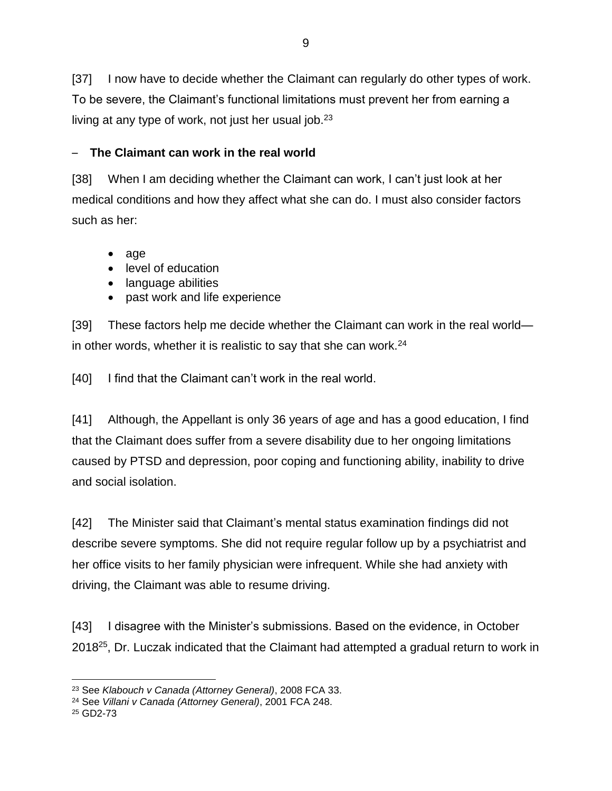[37] I now have to decide whether the Claimant can regularly do other types of work. To be severe, the Claimant's functional limitations must prevent her from earning a living at any type of work, not just her usual job.<sup>23</sup>

#### – **The Claimant can work in the real world**

[38] When I am deciding whether the Claimant can work, I can't just look at her medical conditions and how they affect what she can do. I must also consider factors such as her:

- age
- level of education
- language abilities
- past work and life experience

[39] These factors help me decide whether the Claimant can work in the real world in other words, whether it is realistic to say that she can work.<sup>24</sup>

[40] I find that the Claimant can't work in the real world.

[41] Although, the Appellant is only 36 years of age and has a good education, I find that the Claimant does suffer from a severe disability due to her ongoing limitations caused by PTSD and depression, poor coping and functioning ability, inability to drive and social isolation.

[42] The Minister said that Claimant's mental status examination findings did not describe severe symptoms. She did not require regular follow up by a psychiatrist and her office visits to her family physician were infrequent. While she had anxiety with driving, the Claimant was able to resume driving.

[43] I disagree with the Minister's submissions. Based on the evidence, in October 2018<sup>25</sup>, Dr. Luczak indicated that the Claimant had attempted a gradual return to work in

 $\overline{a}$ <sup>23</sup> See *Klabouch v Canada (Attorney General)*, 2008 FCA 33.

<sup>24</sup> See *Villani v Canada (Attorney General)*, 2001 FCA 248.

<sup>25</sup> GD2-73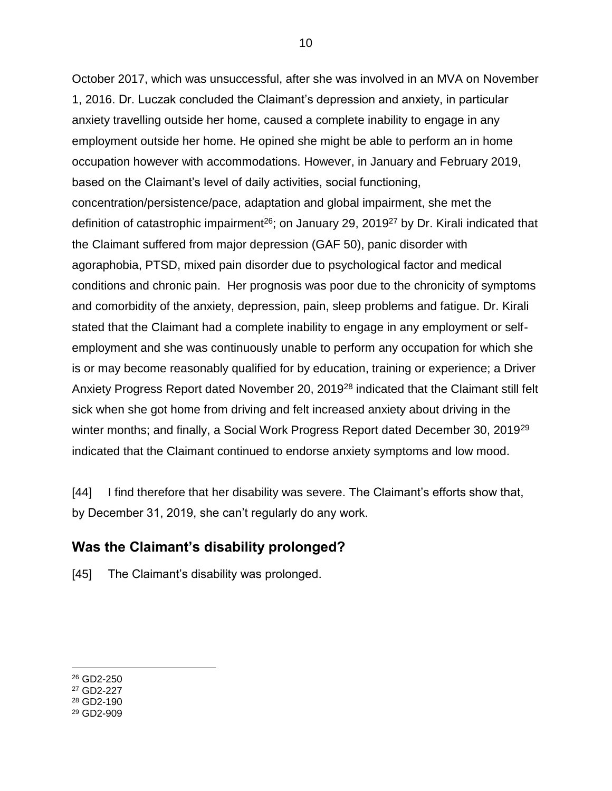October 2017, which was unsuccessful, after she was involved in an MVA on November 1, 2016. Dr. Luczak concluded the Claimant's depression and anxiety, in particular anxiety travelling outside her home, caused a complete inability to engage in any employment outside her home. He opined she might be able to perform an in home occupation however with accommodations. However, in January and February 2019, based on the Claimant's level of daily activities, social functioning, concentration/persistence/pace, adaptation and global impairment, she met the definition of catastrophic impairment<sup>26</sup>; on January 29, 2019<sup>27</sup> by Dr. Kirali indicated that the Claimant suffered from major depression (GAF 50), panic disorder with agoraphobia, PTSD, mixed pain disorder due to psychological factor and medical conditions and chronic pain. Her prognosis was poor due to the chronicity of symptoms and comorbidity of the anxiety, depression, pain, sleep problems and fatigue. Dr. Kirali stated that the Claimant had a complete inability to engage in any employment or selfemployment and she was continuously unable to perform any occupation for which she is or may become reasonably qualified for by education, training or experience; a Driver Anxiety Progress Report dated November 20, 2019<sup>28</sup> indicated that the Claimant still felt sick when she got home from driving and felt increased anxiety about driving in the winter months; and finally, a Social Work Progress Report dated December 30, 2019<sup>29</sup> indicated that the Claimant continued to endorse anxiety symptoms and low mood.

[44] I find therefore that her disability was severe. The Claimant's efforts show that, by December 31, 2019, she can't regularly do any work.

#### **Was the Claimant's disability prolonged?**

[45] The Claimant's disability was prolonged.

 $\overline{a}$ <sup>26</sup> GD2-250

<sup>27</sup> GD2-227

<sup>28</sup> GD2-190

<sup>29</sup> GD2-909